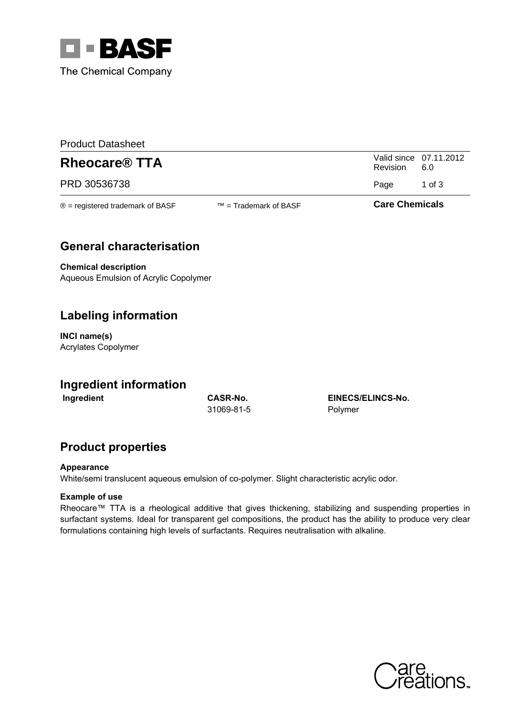

| <b>Product Datasheet</b>                   |                          |                       |                               |  |  |
|--------------------------------------------|--------------------------|-----------------------|-------------------------------|--|--|
| <b>Rheocare<sup>®</sup> TTA</b>            |                          | Revision              | Valid since 07.11.2012<br>6.0 |  |  |
| PRD 30536738                               |                          | Page                  | 1 of 3                        |  |  |
| $\circledR$ = registered trademark of BASF | $TM = Trademark$ of BASF | <b>Care Chemicals</b> |                               |  |  |

## **General characterisation**

**Chemical description** Aqueous Emulsion of Acrylic Copolymer

## **Labeling information**

INCI name(s) Acrylates Copolymer

### **Ingredient information**

Ingredient

**CASR-No.** 31069-81-5

EINECS/ELINCS-No. Polymer

## **Product properties**

#### Appearance

White/semi translucent aqueous emulsion of co-polymer. Slight characteristic acrylic odor.

### **Example of use**

Rheocare™ TTA is a rheological additive that gives thickening, stabilizing and suspending properties in surfactant systems. Ideal for transparent gel compositions, the product has the ability to produce very clear formulations containing high levels of surfactants. Requires neutralisation with alkaline.

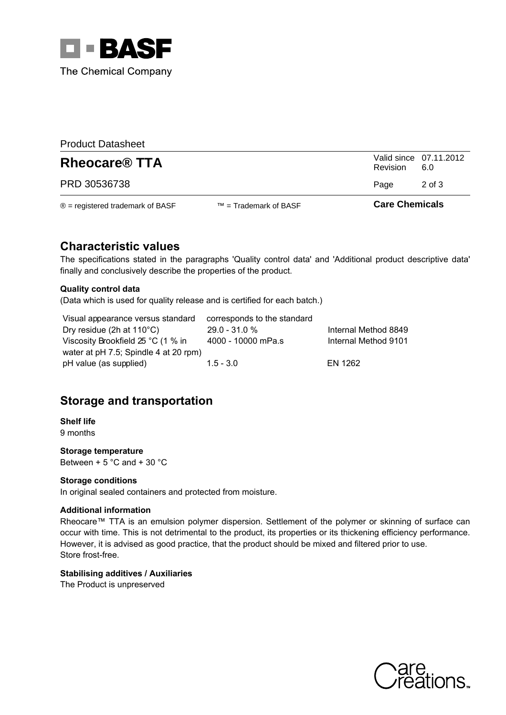

| <b>Product Datasheet</b>                   |                          |          |                               |  |  |
|--------------------------------------------|--------------------------|----------|-------------------------------|--|--|
| <b>Rheocare<sup>®</sup> TTA</b>            |                          | Revision | Valid since 07.11.2012<br>6.0 |  |  |
| PRD 30536738                               |                          | Page     | 2 of 3                        |  |  |
| $\circledR$ = registered trademark of BASF | $TM = Trademark$ of BASF |          | <b>Care Chemicals</b>         |  |  |

## **Characteristic values**

The specifications stated in the paragraphs 'Quality control data' and 'Additional product descriptive data' finally and conclusively describe the properties of the product.

#### **Quality control data**

(Data which is used for quality release and is certified for each batch.)

Visual appearance versus standard corresponds to the standard Dry residue (2h at 110°C) 29.0 - 31.0 % Internal Method 8849 Viscosity Brookfield 25 °C (1 % in  $4000 - 10000$  mPa.s Internal Method 9101 water at pH 7.5; Spindle 4 at 20 rpm) **EN 1262** pH value (as supplied)  $1.5 - 3.0$ 

# **Storage and transportation**

**Shelf life** 9 months

Storage temperature Between + 5  $^{\circ}$ C and + 30  $^{\circ}$ C

#### **Storage conditions**

In original sealed containers and protected from moisture.

#### **Additional information**

Rheocare™ TTA is an emulsion polymer dispersion. Settlement of the polymer or skinning of surface can occur with time. This is not detrimental to the product, its properties or its thickening efficiency performance. However, it is advised as good practice, that the product should be mixed and filtered prior to use. Store frost-free.

### **Stabilising additives / Auxiliaries**

The Product is unpreserved